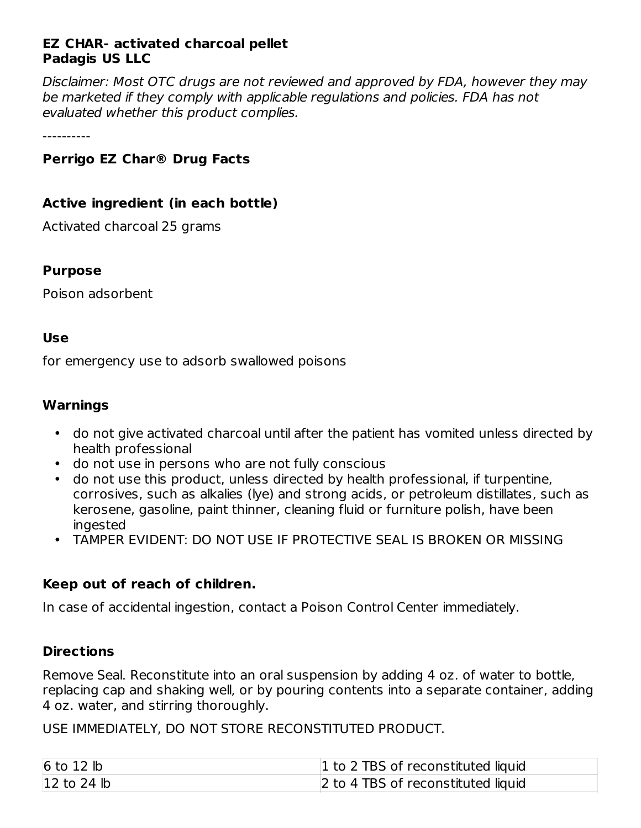## **EZ CHAR- activated charcoal pellet Padagis US LLC**

Disclaimer: Most OTC drugs are not reviewed and approved by FDA, however they may be marketed if they comply with applicable regulations and policies. FDA has not evaluated whether this product complies.

----------

# **Perrigo EZ Char® Drug Facts**

## **Active ingredient (in each bottle)**

Activated charcoal 25 grams

#### **Purpose**

Poison adsorbent

#### **Use**

for emergency use to adsorb swallowed poisons

#### **Warnings**

- do not give activated charcoal until after the patient has vomited unless directed by health professional
- do not use in persons who are not fully conscious
- do not use this product, unless directed by health professional, if turpentine, corrosives, such as alkalies (lye) and strong acids, or petroleum distillates, such as kerosene, gasoline, paint thinner, cleaning fluid or furniture polish, have been ingested
- TAMPER EVIDENT: DO NOT USE IF PROTECTIVE SEAL IS BROKEN OR MISSING

## **Keep out of reach of children.**

In case of accidental ingestion, contact a Poison Control Center immediately.

## **Directions**

Remove Seal. Reconstitute into an oral suspension by adding 4 oz. of water to bottle, replacing cap and shaking well, or by pouring contents into a separate container, adding 4 oz. water, and stirring thoroughly.

USE IMMEDIATELY, DO NOT STORE RECONSTITUTED PRODUCT.

| $6$ to 12 $lb$        | 1 to 2 TBS of reconstituted liquid |
|-----------------------|------------------------------------|
| $ 12 \text{ to } 24 $ | 2 to 4 TBS of reconstituted liquid |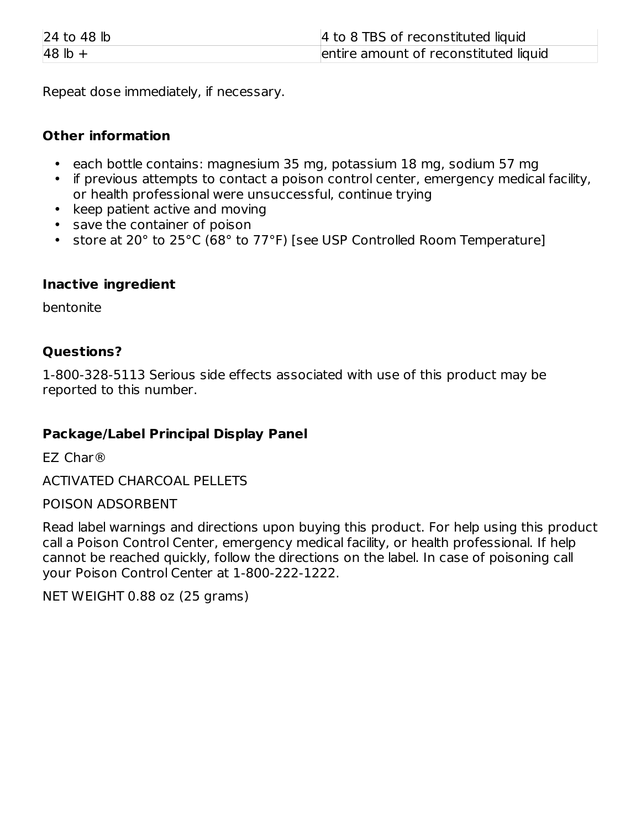| $ 24 \text{ to } 48 $ | 4 to 8 TBS of reconstituted liquid    |
|-----------------------|---------------------------------------|
| $48$ lb +             | entire amount of reconstituted liquid |

Repeat dose immediately, if necessary.

## **Other information**

- each bottle contains: magnesium 35 mg, potassium 18 mg, sodium 57 mg
- if previous attempts to contact a poison control center, emergency medical facility, or health professional were unsuccessful, continue trying
- keep patient active and moving
- save the container of poison
- store at 20° to 25°C (68° to 77°F) [see USP Controlled Room Temperature]

## **Inactive ingredient**

bentonite

## **Questions?**

1-800-328-5113 Serious side effects associated with use of this product may be reported to this number.

## **Package/Label Principal Display Panel**

EZ Char®

ACTIVATED CHARCOAL PELLETS

POISON ADSORBENT

Read label warnings and directions upon buying this product. For help using this product call a Poison Control Center, emergency medical facility, or health professional. If help cannot be reached quickly, follow the directions on the label. In case of poisoning call your Poison Control Center at 1-800-222-1222.

NET WEIGHT 0.88 oz (25 grams)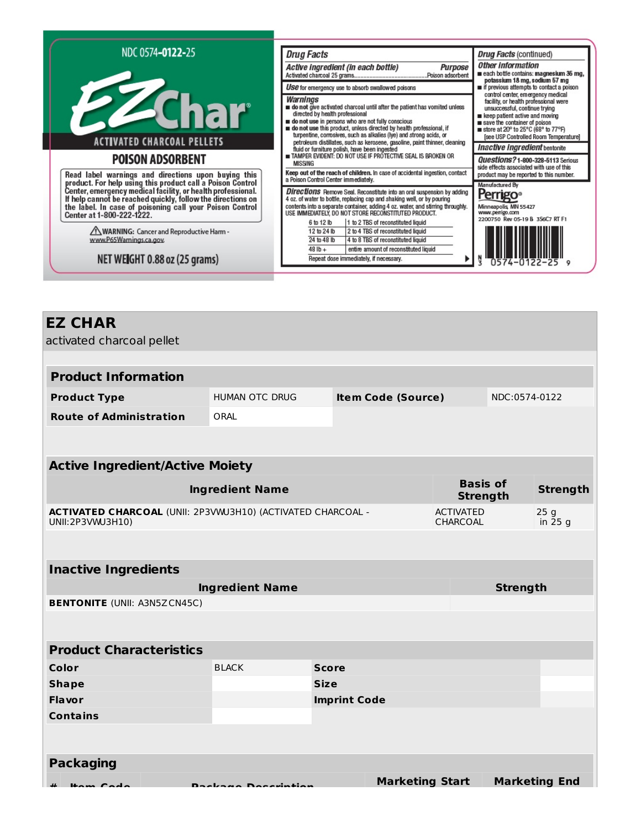| NDC 0574-0122-25<br><b>PZChar</b>                                                                                                                                                                                                                                                                                                                                           | <b>Drug Facts</b><br>Active ingredient (in each bottle)<br><b>Purpose</b><br>Use for emergency use to absorb swallowed poisons<br>Warnings<br>do not give activated charcoal until after the patient has vomited unless                                                                                                                                                                                                                                                                                                                                                                                   | <b>Drug Facts (continued)</b><br>Other Information<br>each bottle contains: magnesium 35 mg,<br>potassium 18 mg, sodium 57 mg<br>if previous attempts to contact a poison<br>control center, emergency medical<br>facility, or health professional were<br>unsuccessful, continue trying                           |
|-----------------------------------------------------------------------------------------------------------------------------------------------------------------------------------------------------------------------------------------------------------------------------------------------------------------------------------------------------------------------------|-----------------------------------------------------------------------------------------------------------------------------------------------------------------------------------------------------------------------------------------------------------------------------------------------------------------------------------------------------------------------------------------------------------------------------------------------------------------------------------------------------------------------------------------------------------------------------------------------------------|--------------------------------------------------------------------------------------------------------------------------------------------------------------------------------------------------------------------------------------------------------------------------------------------------------------------|
| <b>ACTIVATED CHARCOAL PELLETS</b><br><b>POISON ADSORBENT</b>                                                                                                                                                                                                                                                                                                                | directed by health professional<br>do not use in persons who are not fully conscious<br>on do not use this product, unless directed by health professional, if<br>turpentine, corrosives, such as alkalies (lye) and strong acids, or<br>petroleum distillates, such as kerosene, gasoline, paint thinner, cleaning<br>fluid or furniture polish, have been ingested<br>TAMPER EVIDENT: DO NOT USE IF PROTECTIVE SEAL IS BROKEN OR<br><b>MISSING</b><br>Keep out of the reach of children. In case of accidental ingestion, contact                                                                       | keep patient active and moving<br>save the container of poison<br>■ store at 20° to 25°C (68° to 77°F)<br>[see USP Controlled Room Temperature]<br>Inactive Ingredient bentonite<br><b>Questions?1-800-328-5113 Serious</b><br>side effects associated with use of this<br>product may be reported to this number. |
| Read label warnings and directions upon buying this<br>product. For help using this product call a Poison Control<br>Center, emergency medical facility, or health professional.<br>If help cannot be reached quickly, follow the direc<br>Center at 1-800-222-1222.<br>WARNING: Cancer and Reproductive Harm -<br>www.P65Warnings.ca.gov.<br>NET WEIGHT 0.88 oz (25 grams) | a Poison Control Center immediately.<br><b>Directions</b> Remove Seal. Reconstitute into an oral suspension by adding<br>4 oz. of water to bottle, replacing cap and shaking well, or by pouring<br>contents into a separate container, adding 4 oz. water, and stirring throughly.<br>USE IMMEDIATELY, DO NOT STORE RECONSTITUTED PRODUCT.<br>1 to 2 TBS of reconstituted liquid<br>6 to 12 lb<br>12 to 24 lb<br>2 to 4 TBS of reconstituted liquid<br>24 to 48 lb<br>4 to 8 TBS of reconstituted liquid<br>$48$ lb +<br>entire amount of reconstituted liquid<br>Repeat dose immediately, if necessary. | Manufactured By<br><b>Perrigo</b> ®<br>Minneapolis, MN 55427<br>www.perrigo.com<br>2200750 Rev 05-19 B 3S6C7 RT F1                                                                                                                                                                                                 |

|  | <b>EZ CHAR</b> |
|--|----------------|
|--|----------------|

| activated charcoal pellet |  |  |
|---------------------------|--|--|
|---------------------------|--|--|

| <b>Product Information</b>     |                |                           |               |  |  |
|--------------------------------|----------------|---------------------------|---------------|--|--|
| <b>Product Type</b>            | HUMAN OTC DRUG | <b>Item Code (Source)</b> | NDC:0574-0122 |  |  |
| <b>Route of Administration</b> | ORAL           |                           |               |  |  |

| <b>Active Ingredient/Active Moiety</b>                                                 |                                    |                 |  |  |
|----------------------------------------------------------------------------------------|------------------------------------|-----------------|--|--|
| <b>Ingredient Name</b>                                                                 | <b>Basis of</b><br><b>Strength</b> | <b>Strength</b> |  |  |
| <b>ACTIVATED CHARCOAL (UNII: 2P3VMJ3H10) (ACTIVATED CHARCOAL -</b><br>UNII:2P3VWU3H10) | ACTIVATED<br>CHARCOAL              | 25g<br>in 25 g  |  |  |

| <b>Inactive Ingredients</b>         |                        |                     |                        |                      |  |
|-------------------------------------|------------------------|---------------------|------------------------|----------------------|--|
|                                     | <b>Ingredient Name</b> |                     |                        | <b>Strength</b>      |  |
| <b>BENTONITE (UNII: A3N5ZCN45C)</b> |                        |                     |                        |                      |  |
|                                     |                        |                     |                        |                      |  |
| <b>Product Characteristics</b>      |                        |                     |                        |                      |  |
| Color                               | <b>BLACK</b>           | <b>Score</b>        |                        |                      |  |
| <b>Shape</b>                        |                        | <b>Size</b>         |                        |                      |  |
| <b>Flavor</b>                       |                        | <b>Imprint Code</b> |                        |                      |  |
| <b>Contains</b>                     |                        |                     |                        |                      |  |
|                                     |                        |                     |                        |                      |  |
| <b>Packaging</b>                    |                        |                     |                        |                      |  |
| Home Code                           | Doelcomo Docevintion   |                     | <b>Marketing Start</b> | <b>Marketing End</b> |  |